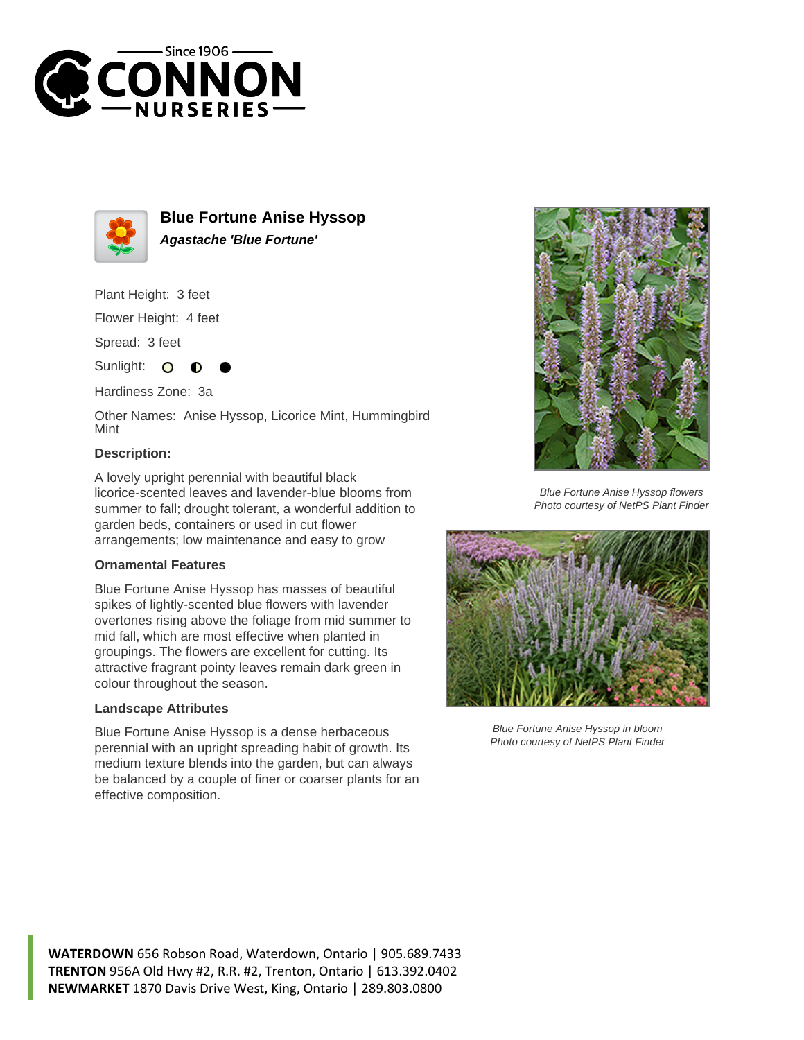



**Blue Fortune Anise Hyssop Agastache 'Blue Fortune'**

Plant Height: 3 feet

Flower Height: 4 feet

Spread: 3 feet

Sunlight: O

Hardiness Zone: 3a

Other Names: Anise Hyssop, Licorice Mint, Hummingbird Mint

## **Description:**

A lovely upright perennial with beautiful black licorice-scented leaves and lavender-blue blooms from summer to fall; drought tolerant, a wonderful addition to garden beds, containers or used in cut flower arrangements; low maintenance and easy to grow

## **Ornamental Features**

Blue Fortune Anise Hyssop has masses of beautiful spikes of lightly-scented blue flowers with lavender overtones rising above the foliage from mid summer to mid fall, which are most effective when planted in groupings. The flowers are excellent for cutting. Its attractive fragrant pointy leaves remain dark green in colour throughout the season.

## **Landscape Attributes**

Blue Fortune Anise Hyssop is a dense herbaceous perennial with an upright spreading habit of growth. Its medium texture blends into the garden, but can always be balanced by a couple of finer or coarser plants for an effective composition.



Blue Fortune Anise Hyssop flowers Photo courtesy of NetPS Plant Finder



Blue Fortune Anise Hyssop in bloom Photo courtesy of NetPS Plant Finder

**WATERDOWN** 656 Robson Road, Waterdown, Ontario | 905.689.7433 **TRENTON** 956A Old Hwy #2, R.R. #2, Trenton, Ontario | 613.392.0402 **NEWMARKET** 1870 Davis Drive West, King, Ontario | 289.803.0800